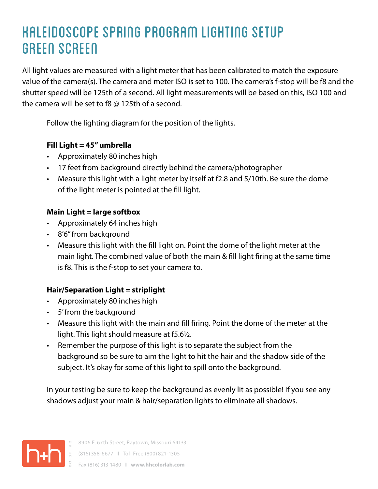## KALEIDOSCOPE SPRING PROGRAM LIGHTING SETUP GREEN SCREEN

All light values are measured with a light meter that has been calibrated to match the exposure value of the camera(s). The camera and meter ISO is set to 100. The camera's f-stop will be f8 and the shutter speed will be 125th of a second. All light measurements will be based on this, ISO 100 and the camera will be set to f8 @ 125th of a second.

Follow the lighting diagram for the position of the lights.

#### **Fill Light = 45" umbrella**

- Approximately 80 inches high
- 17 feet from background directly behind the camera/photographer
- Measure this light with a light meter by itself at f2.8 and 5/10th. Be sure the dome of the light meter is pointed at the fill light.

#### **Main Light = large softbox**

- Approximately 64 inches high
- 8'6" from background
- Measure this light with the fill light on. Point the dome of the light meter at the main light. The combined value of both the main & fill light firing at the same time is f8. This is the f-stop to set your camera to.

### **Hair/Separation Light = striplight**

- Approximately 80 inches high
- 5' from the background
- Measure this light with the main and fill firing. Point the dome of the meter at the light. This light should measure at f5.6½.
- Remember the purpose of this light is to separate the subject from the background so be sure to aim the light to hit the hair and the shadow side of the subject. It's okay for some of this light to spill onto the background.

In your testing be sure to keep the background as evenly lit as possible! If you see any shadows adjust your main & hair/separation lights to eliminate all shadows.